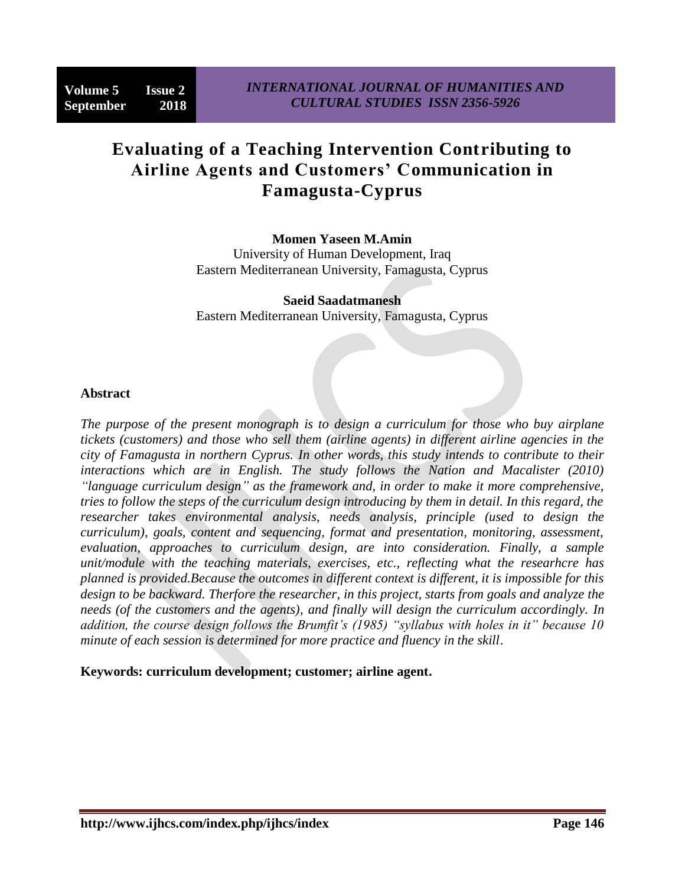# **Evaluating of a Teaching Intervention Contributing to Airline Agents and Customers' Communication in Famagusta-Cyprus**

**Momen Yaseen M.Amin**

University of Human Development, Iraq Eastern Mediterranean University, Famagusta, Cyprus

**Saeid Saadatmanesh** Eastern Mediterranean University, Famagusta, Cyprus

## **Abstract**

*The purpose of the present monograph is to design a curriculum for those who buy airplane tickets (customers) and those who sell them (airline agents) in different airline agencies in the city of Famagusta in northern Cyprus. In other words, this study intends to contribute to their interactions which are in English. The study follows the Nation and Macalister (2010) "language curriculum design" as the framework and, in order to make it more comprehensive, tries to follow the steps of the curriculum design introducing by them in detail. In this regard, the researcher takes environmental analysis, needs analysis, principle (used to design the curriculum), goals, content and sequencing, format and presentation, monitoring, assessment, evaluation, approaches to curriculum design, are into consideration. Finally, a sample unit/module with the teaching materials, exercises, etc., reflecting what the researhcre has planned is provided.Because the outcomes in different context is different, it is impossible for this design to be backward. Therfore the researcher, in this project, starts from goals and analyze the needs (of the customers and the agents), and finally will design the curriculum accordingly. In addition, the course design follows the Brumfit's (1985) "syllabus with holes in it" because 10 minute of each session is determined for more practice and fluency in the skill.*

**Keywords: curriculum development; customer; airline agent.**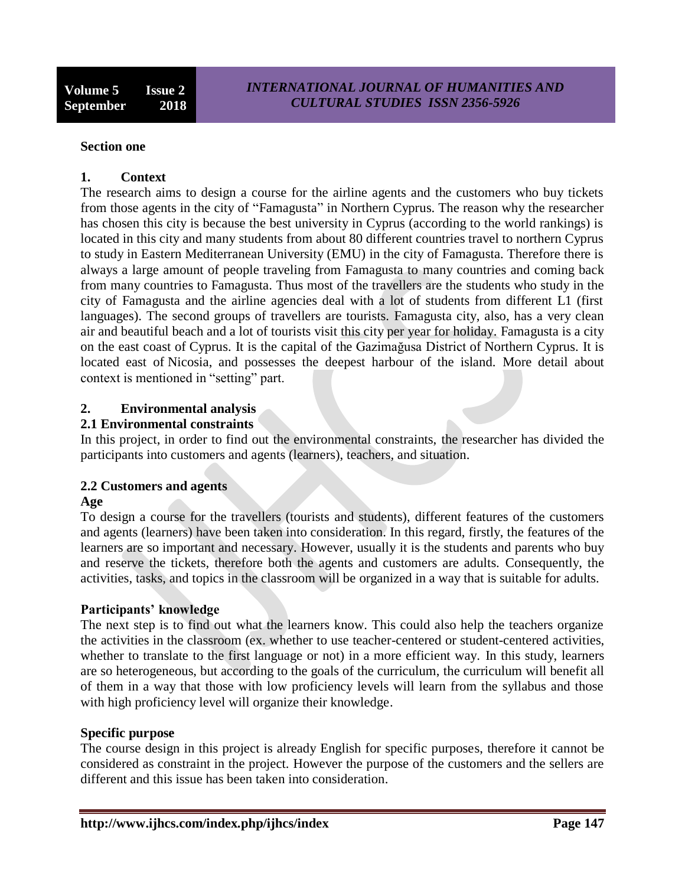#### **Section one**

#### **1. Context**

The research aims to design a course for the airline agents and the customers who buy tickets from those agents in the city of "Famagusta" in Northern Cyprus. The reason why the researcher has chosen this city is because the best university in Cyprus (according to the world rankings) is located in this city and many students from about 80 different countries travel to northern Cyprus to study in Eastern Mediterranean University (EMU) in the city of Famagusta. Therefore there is always a large amount of people traveling from Famagusta to many countries and coming back from many countries to Famagusta. Thus most of the travellers are the students who study in the city of Famagusta and the airline agencies deal with a lot of students from different L1 (first languages). The second groups of travellers are tourists. Famagusta city, also, has a very clean air and beautiful beach and a lot of tourists visit this city per year for holiday. Famagusta is a city on the east coast of [Cyprus.](https://en.wikipedia.org/wiki/Cyprus) It is the capital of the [Gazimağusa District](https://en.wikipedia.org/wiki/Gazima%C4%9Fusa_District) of [Northern Cyprus.](https://en.wikipedia.org/wiki/Northern_Cyprus) It is located east of [Nicosia,](https://en.wikipedia.org/wiki/Nicosia_District) and possesses the deepest harbour of the island. More detail about context is mentioned in "setting" part.

## **2. Environmental analysis**

#### **2.1 Environmental constraints**

In this project, in order to find out the environmental constraints, the researcher has divided the participants into customers and agents (learners), teachers, and situation.

## **2.2 Customers and agents**

#### **Age**

To design a course for the travellers (tourists and students), different features of the customers and agents (learners) have been taken into consideration. In this regard, firstly, the features of the learners are so important and necessary. However, usually it is the students and parents who buy and reserve the tickets, therefore both the agents and customers are adults. Consequently, the activities, tasks, and topics in the classroom will be organized in a way that is suitable for adults.

#### **Participants' knowledge**

The next step is to find out what the learners know. This could also help the teachers organize the activities in the classroom (ex. whether to use teacher-centered or student-centered activities, whether to translate to the first language or not) in a more efficient way. In this study, learners are so heterogeneous, but according to the goals of the curriculum, the curriculum will benefit all of them in a way that those with low proficiency levels will learn from the syllabus and those with high proficiency level will organize their knowledge.

#### **Specific purpose**

The course design in this project is already English for specific purposes, therefore it cannot be considered as constraint in the project. However the purpose of the customers and the sellers are different and this issue has been taken into consideration.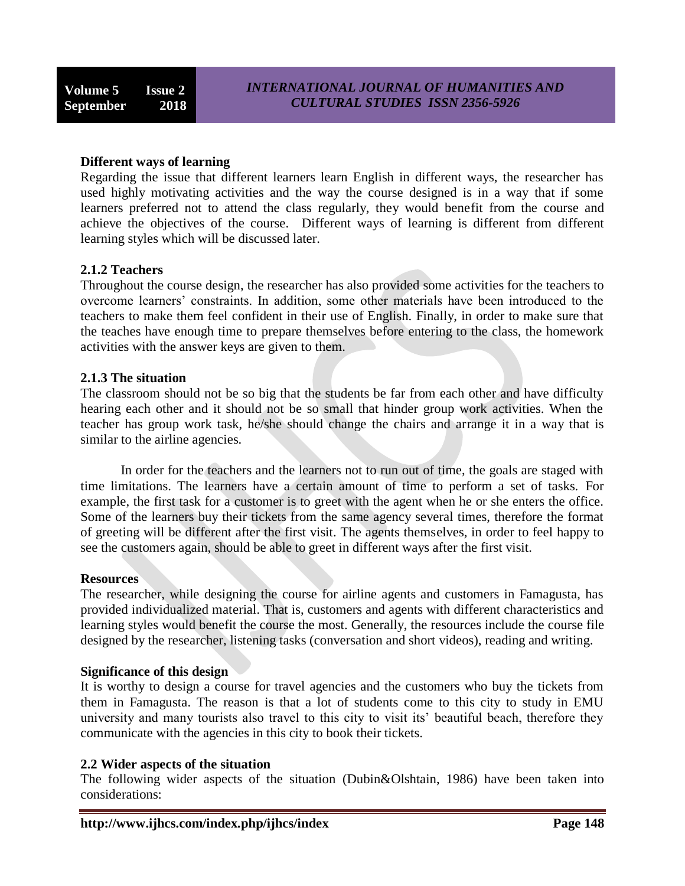#### **Different ways of learning**

Regarding the issue that different learners learn English in different ways, the researcher has used highly motivating activities and the way the course designed is in a way that if some learners preferred not to attend the class regularly, they would benefit from the course and achieve the objectives of the course. Different ways of learning is different from different learning styles which will be discussed later.

#### **2.1.2 Teachers**

Throughout the course design, the researcher has also provided some activities for the teachers to overcome learners' constraints. In addition, some other materials have been introduced to the teachers to make them feel confident in their use of English. Finally, in order to make sure that the teaches have enough time to prepare themselves before entering to the class, the homework activities with the answer keys are given to them.

#### **2.1.3 The situation**

The classroom should not be so big that the students be far from each other and have difficulty hearing each other and it should not be so small that hinder group work activities. When the teacher has group work task, he/she should change the chairs and arrange it in a way that is similar to the airline agencies.

In order for the teachers and the learners not to run out of time, the goals are staged with time limitations. The learners have a certain amount of time to perform a set of tasks. For example, the first task for a customer is to greet with the agent when he or she enters the office. Some of the learners buy their tickets from the same agency several times, therefore the format of greeting will be different after the first visit. The agents themselves, in order to feel happy to see the customers again, should be able to greet in different ways after the first visit.

#### **Resources**

The researcher, while designing the course for airline agents and customers in Famagusta, has provided individualized material. That is, customers and agents with different characteristics and learning styles would benefit the course the most. Generally, the resources include the course file designed by the researcher, listening tasks (conversation and short videos), reading and writing.

#### **Significance of this design**

It is worthy to design a course for travel agencies and the customers who buy the tickets from them in Famagusta. The reason is that a lot of students come to this city to study in EMU university and many tourists also travel to this city to visit its' beautiful beach, therefore they communicate with the agencies in this city to book their tickets.

#### **2.2 Wider aspects of the situation**

The following wider aspects of the situation (Dubin&Olshtain, 1986) have been taken into considerations: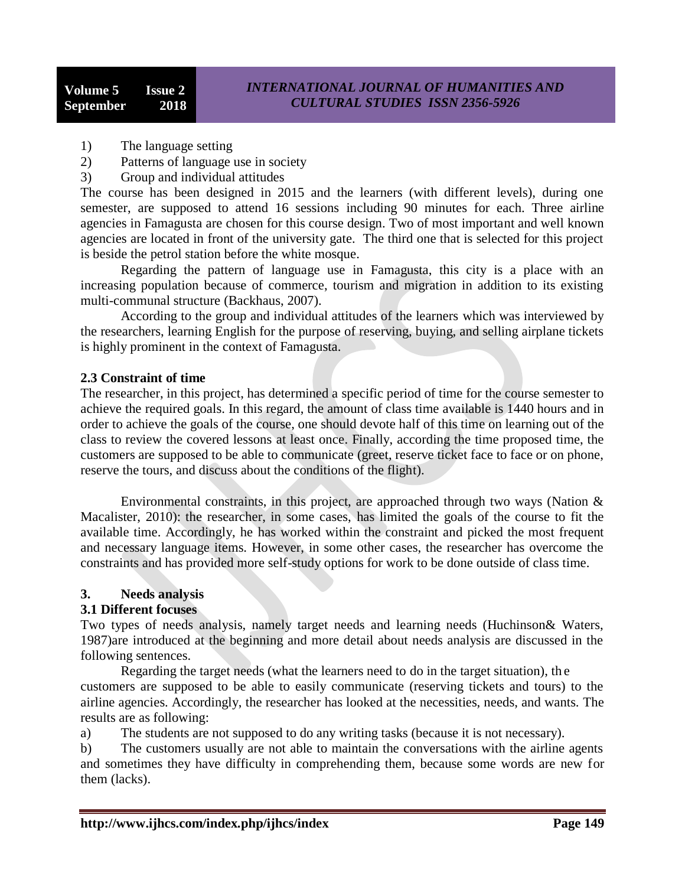- 1) The language setting
- 2) Patterns of language use in society
- 3) Group and individual attitudes

The course has been designed in 2015 and the learners (with different levels), during one semester, are supposed to attend 16 sessions including 90 minutes for each. Three airline agencies in Famagusta are chosen for this course design. Two of most important and well known agencies are located in front of the university gate. The third one that is selected for this project is beside the petrol station before the white mosque.

Regarding the pattern of language use in Famagusta, this city is a place with an increasing population because of commerce, tourism and migration in addition to its existing multi-communal structure (Backhaus, 2007).

According to the group and individual attitudes of the learners which was interviewed by the researchers, learning English for the purpose of reserving, buying, and selling airplane tickets is highly prominent in the context of Famagusta.

## **2.3 Constraint of time**

The researcher, in this project, has determined a specific period of time for the course semester to achieve the required goals. In this regard, the amount of class time available is 1440 hours and in order to achieve the goals of the course, one should devote half of this time on learning out of the class to review the covered lessons at least once. Finally, according the time proposed time, the customers are supposed to be able to communicate (greet, reserve ticket face to face or on phone, reserve the tours, and discuss about the conditions of the flight).

Environmental constraints, in this project, are approached through two ways (Nation  $\&$ Macalister, 2010): the researcher, in some cases, has limited the goals of the course to fit the available time. Accordingly, he has worked within the constraint and picked the most frequent and necessary language items. However, in some other cases, the researcher has overcome the constraints and has provided more self-study options for work to be done outside of class time.

## **3. Needs analysis**

## **3.1 Different focuses**

Two types of needs analysis, namely target needs and learning needs (Huchinson& Waters, 1987)are introduced at the beginning and more detail about needs analysis are discussed in the following sentences.

Regarding the target needs (what the learners need to do in the target situation), th e customers are supposed to be able to easily communicate (reserving tickets and tours) to the airline agencies. Accordingly, the researcher has looked at the necessities, needs, and wants. The results are as following:

a) The students are not supposed to do any writing tasks (because it is not necessary).

b) The customers usually are not able to maintain the conversations with the airline agents and sometimes they have difficulty in comprehending them, because some words are new for them (lacks).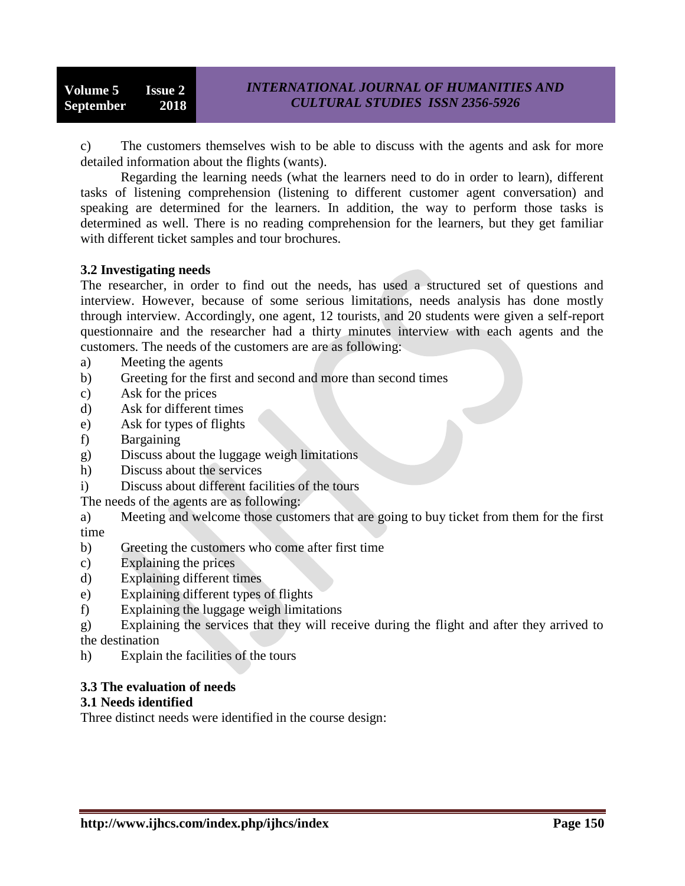c) The customers themselves wish to be able to discuss with the agents and ask for more detailed information about the flights (wants).

Regarding the learning needs (what the learners need to do in order to learn), different tasks of listening comprehension (listening to different customer agent conversation) and speaking are determined for the learners. In addition, the way to perform those tasks is determined as well. There is no reading comprehension for the learners, but they get familiar with different ticket samples and tour brochures.

#### **3.2 Investigating needs**

The researcher, in order to find out the needs, has used a structured set of questions and interview. However, because of some serious limitations, needs analysis has done mostly through interview. Accordingly, one agent, 12 tourists, and 20 students were given a self-report questionnaire and the researcher had a thirty minutes interview with each agents and the customers. The needs of the customers are are as following:

- a) Meeting the agents
- b) Greeting for the first and second and more than second times
- c) Ask for the prices
- d) Ask for different times
- e) Ask for types of flights
- f) Bargaining
- g) Discuss about the luggage weigh limitations
- h) Discuss about the services
- i) Discuss about different facilities of the tours

The needs of the agents are as following:

a) Meeting and welcome those customers that are going to buy ticket from them for the first time

- b) Greeting the customers who come after first time
- c) Explaining the prices
- d) Explaining different times
- e) Explaining different types of flights
- f) Explaining the luggage weigh limitations
- g) Explaining the services that they will receive during the flight and after they arrived to the destination
- h) Explain the facilities of the tours

## **3.3 The evaluation of needs**

#### **3.1 Needs identified**

Three distinct needs were identified in the course design: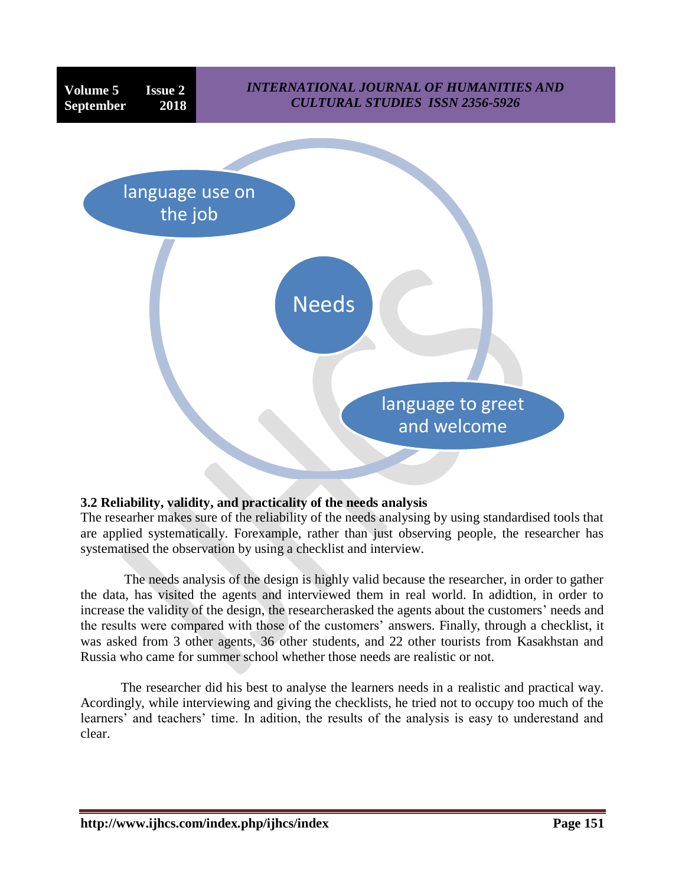

## **3.2 Reliability, validity, and practicality of the needs analysis**

The researher makes sure of the reliability of the needs analysing by using standardised tools that are applied systematically. Forexample, rather than just observing people, the researcher has systematised the observation by using a checklist and interview.

The needs analysis of the design is highly valid because the researcher, in order to gather the data, has visited the agents and interviewed them in real world. In adidtion, in order to increase the validity of the design, the researcherasked the agents about the customers' needs and the results were compared with those of the customers' answers. Finally, through a checklist, it was asked from 3 other agents, 36 other students, and 22 other tourists from Kasakhstan and Russia who came for summer school whether those needs are realistic or not.

The researcher did his best to analyse the learners needs in a realistic and practical way. Acordingly, while interviewing and giving the checklists, he tried not to occupy too much of the learners' and teachers' time. In adition, the results of the analysis is easy to underestand and clear.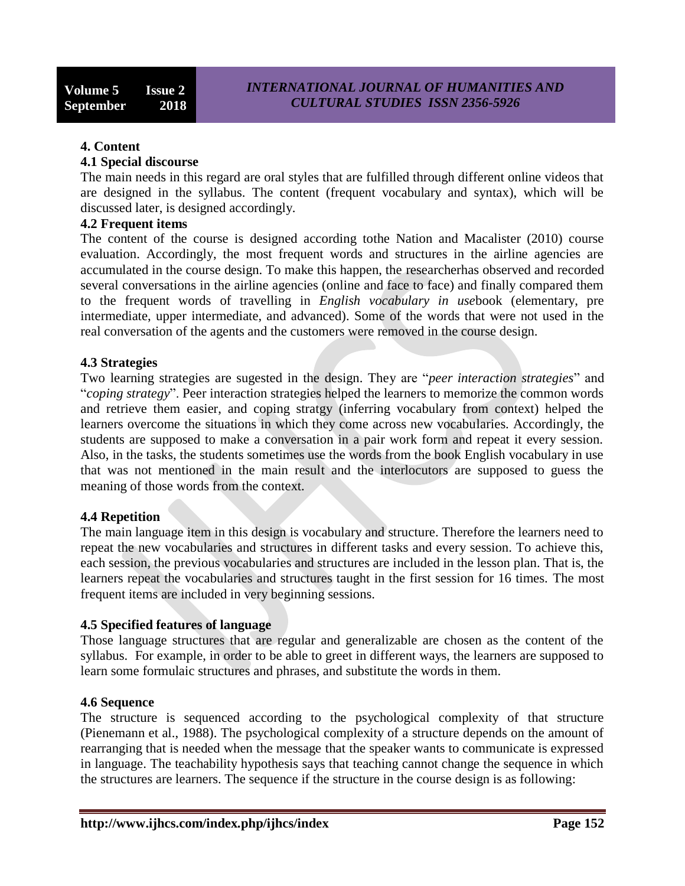#### **4. Content**

#### **4.1 Special discourse**

The main needs in this regard are oral styles that are fulfilled through different online videos that are designed in the syllabus. The content (frequent vocabulary and syntax), which will be discussed later, is designed accordingly.

#### **4.2 Frequent items**

The content of the course is designed according tothe Nation and Macalister (2010) course evaluation. Accordingly, the most frequent words and structures in the airline agencies are accumulated in the course design. To make this happen, the researcherhas observed and recorded several conversations in the airline agencies (online and face to face) and finally compared them to the frequent words of travelling in *English vocabulary in use*book (elementary, pre intermediate, upper intermediate, and advanced). Some of the words that were not used in the real conversation of the agents and the customers were removed in the course design.

#### **4.3 Strategies**

Two learning strategies are sugested in the design. They are "*peer interaction strategies*" and "*coping strategy*". Peer interaction strategies helped the learners to memorize the common words and retrieve them easier, and coping stratgy (inferring vocabulary from context) helped the learners overcome the situations in which they come across new vocabularies. Accordingly, the students are supposed to make a conversation in a pair work form and repeat it every session. Also, in the tasks, the students sometimes use the words from the book English vocabulary in use that was not mentioned in the main result and the interlocutors are supposed to guess the meaning of those words from the context.

#### **4.4 Repetition**

The main language item in this design is vocabulary and structure. Therefore the learners need to repeat the new vocabularies and structures in different tasks and every session. To achieve this, each session, the previous vocabularies and structures are included in the lesson plan. That is, the learners repeat the vocabularies and structures taught in the first session for 16 times. The most frequent items are included in very beginning sessions.

#### **4.5 Specified features of language**

Those language structures that are regular and generalizable are chosen as the content of the syllabus. For example, in order to be able to greet in different ways, the learners are supposed to learn some formulaic structures and phrases, and substitute the words in them.

#### **4.6 Sequence**

The structure is sequenced according to the psychological complexity of that structure (Pienemann et al., 1988). The psychological complexity of a structure depends on the amount of rearranging that is needed when the message that the speaker wants to communicate is expressed in language. The teachability hypothesis says that teaching cannot change the sequence in which the structures are learners. The sequence if the structure in the course design is as following: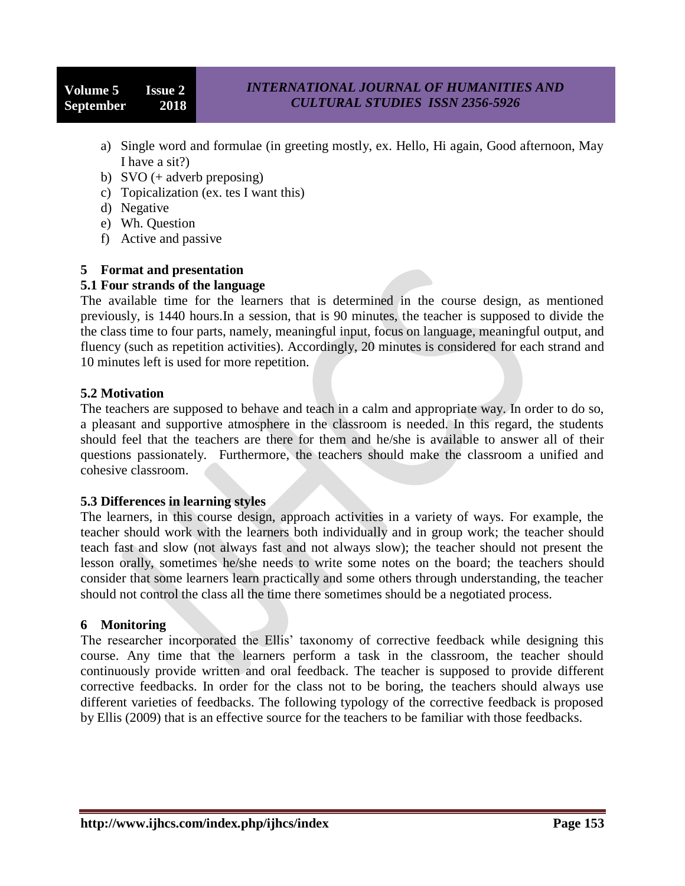**Volume 5 Issue 2 September 2018**

- a) Single word and formulae (in greeting mostly, ex. Hello, Hi again, Good afternoon, May I have a sit?)
- b) SVO (+ adverb preposing)
- c) Topicalization (ex. tes I want this)
- d) Negative
- e) Wh. Question
- f) Active and passive

## **5 Format and presentation**

## **5.1 Four strands of the language**

The available time for the learners that is determined in the course design, as mentioned previously, is 1440 hours.In a session, that is 90 minutes, the teacher is supposed to divide the the class time to four parts, namely, meaningful input, focus on language, meaningful output, and fluency (such as repetition activities). Accordingly, 20 minutes is considered for each strand and 10 minutes left is used for more repetition.

## **5.2 Motivation**

The teachers are supposed to behave and teach in a calm and appropriate way. In order to do so, a pleasant and supportive atmosphere in the classroom is needed. In this regard, the students should feel that the teachers are there for them and he/she is available to answer all of their questions passionately. Furthermore, the teachers should make the classroom a unified and cohesive classroom.

## **5.3 Differences in learning styles**

The learners, in this course design, approach activities in a variety of ways. For example, the teacher should work with the learners both individually and in group work; the teacher should teach fast and slow (not always fast and not always slow); the teacher should not present the lesson orally, sometimes he/she needs to write some notes on the board; the teachers should consider that some learners learn practically and some others through understanding, the teacher should not control the class all the time there sometimes should be a negotiated process.

## **6 Monitoring**

The researcher incorporated the Ellis' taxonomy of corrective feedback while designing this course. Any time that the learners perform a task in the classroom, the teacher should continuously provide written and oral feedback. The teacher is supposed to provide different corrective feedbacks. In order for the class not to be boring, the teachers should always use different varieties of feedbacks. The following typology of the corrective feedback is proposed by Ellis (2009) that is an effective source for the teachers to be familiar with those feedbacks.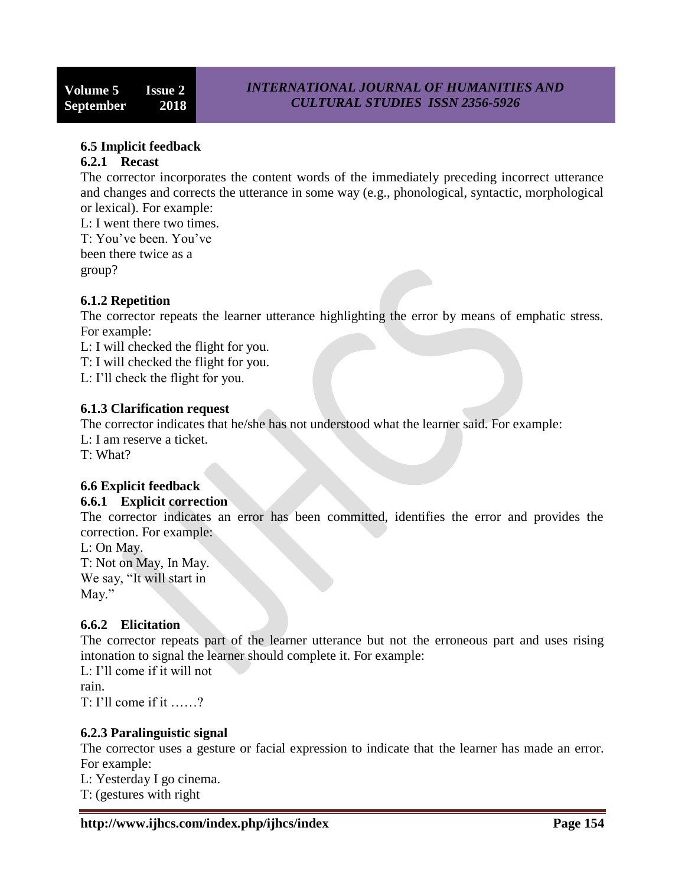## **6.5 Implicit feedback**

#### **6.2.1 Recast**

The corrector incorporates the content words of the immediately preceding incorrect utterance and changes and corrects the utterance in some way (e.g., phonological, syntactic, morphological or lexical). For example:

L: I went there two times. T: You've been. You've been there twice as a group?

## **6.1.2 Repetition**

The corrector repeats the learner utterance highlighting the error by means of emphatic stress. For example:

L: I will checked the flight for you.

T: I will checked the flight for you.

L: I'll check the flight for you.

#### **6.1.3 Clarification request**

The corrector indicates that he/she has not understood what the learner said. For example:

L: I am reserve a ticket. T: What?

# **6.6 Explicit feedback**

## **6.6.1 Explicit correction**

The corrector indicates an error has been committed, identifies the error and provides the correction. For example:

L: On May. T: Not on May, In May. We say, "It will start in

May."

## **6.6.2 Elicitation**

The corrector repeats part of the learner utterance but not the erroneous part and uses rising intonation to signal the learner should complete it. For example:

L: I'll come if it will not rain. T: I'll come if it ……?

# **6.2.3 Paralinguistic signal**

The corrector uses a gesture or facial expression to indicate that the learner has made an error. For example:

L: Yesterday I go cinema.

T: (gestures with right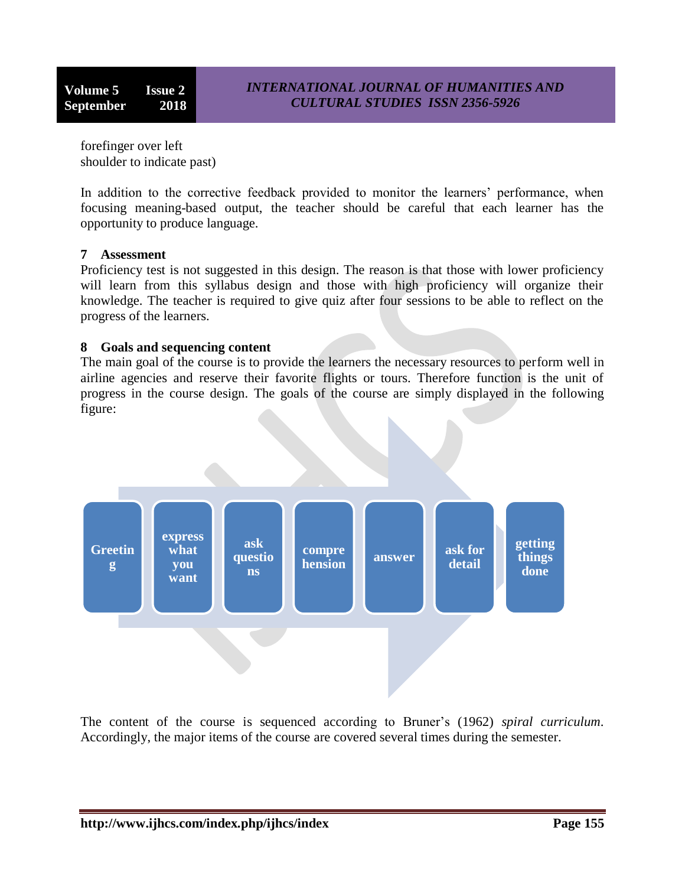forefinger over left shoulder to indicate past)

In addition to the corrective feedback provided to monitor the learners' performance, when focusing meaning-based output, the teacher should be careful that each learner has the opportunity to produce language.

## **7 Assessment**

Proficiency test is not suggested in this design. The reason is that those with lower proficiency will learn from this syllabus design and those with high proficiency will organize their knowledge. The teacher is required to give quiz after four sessions to be able to reflect on the progress of the learners.

#### **8 Goals and sequencing content**

The main goal of the course is to provide the learners the necessary resources to perform well in airline agencies and reserve their favorite flights or tours. Therefore function is the unit of progress in the course design. The goals of the course are simply displayed in the following figure:



The content of the course is sequenced according to Bruner's (1962) *spiral curriculum*. Accordingly, the major items of the course are covered several times during the semester.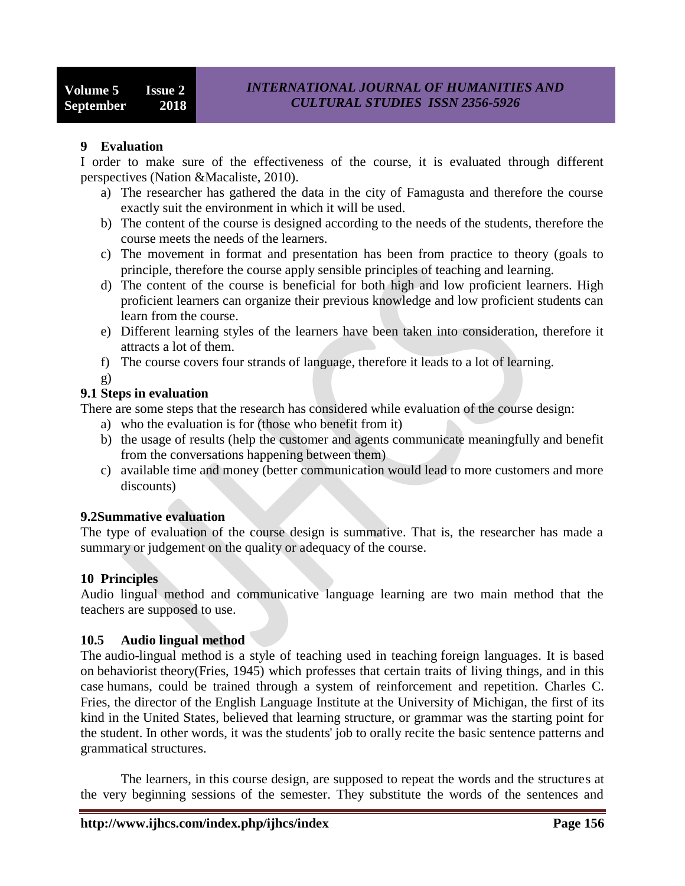## **9 Evaluation**

I order to make sure of the effectiveness of the course, it is evaluated through different perspectives (Nation &Macaliste, 2010).

- a) The researcher has gathered the data in the city of Famagusta and therefore the course exactly suit the environment in which it will be used.
- b) The content of the course is designed according to the needs of the students, therefore the course meets the needs of the learners.
- c) The movement in format and presentation has been from practice to theory (goals to principle, therefore the course apply sensible principles of teaching and learning.
- d) The content of the course is beneficial for both high and low proficient learners. High proficient learners can organize their previous knowledge and low proficient students can learn from the course.
- e) Different learning styles of the learners have been taken into consideration, therefore it attracts a lot of them.
- f) The course covers four strands of language, therefore it leads to a lot of learning.

g)

# **9.1 Steps in evaluation**

There are some steps that the research has considered while evaluation of the course design:

- a) who the evaluation is for (those who benefit from it)
- b) the usage of results (help the customer and agents communicate meaningfully and benefit from the conversations happening between them)
- c) available time and money (better communication would lead to more customers and more discounts)

# **9.2Summative evaluation**

The type of evaluation of the course design is summative. That is, the researcher has made a summary or judgement on the quality or adequacy of the course.

## **10 Principles**

Audio lingual method and communicative language learning are two main method that the teachers are supposed to use.

## **10.5 Audio lingual method**

The audio-lingual method is a style of teaching used in teaching [foreign languages.](https://en.wikipedia.org/wiki/Foreign_language) It is based on [behaviorist](https://en.wikipedia.org/wiki/Behaviorist) theory(Fries, 1945) which professes that certain traits of living things, and in this case [humans,](https://en.wikipedia.org/wiki/Human) could be trained through a system of reinforcement and repetition. [Charles C.](https://en.wikipedia.org/w/index.php?title=Charles_C._Fries&action=edit&redlink=1)  [Fries,](https://en.wikipedia.org/w/index.php?title=Charles_C._Fries&action=edit&redlink=1) the director of the English Language Institute at the [University of Michigan,](https://en.wikipedia.org/wiki/University_of_Michigan) the first of its kind in the [United States,](https://en.wikipedia.org/wiki/United_States) believed that learning structure, or grammar was the starting point for the student. In other words, it was the students' job to orally recite the basic sentence patterns and grammatical structures.

The learners, in this course design, are supposed to repeat the words and the structures at the very beginning sessions of the semester. They substitute the words of the sentences and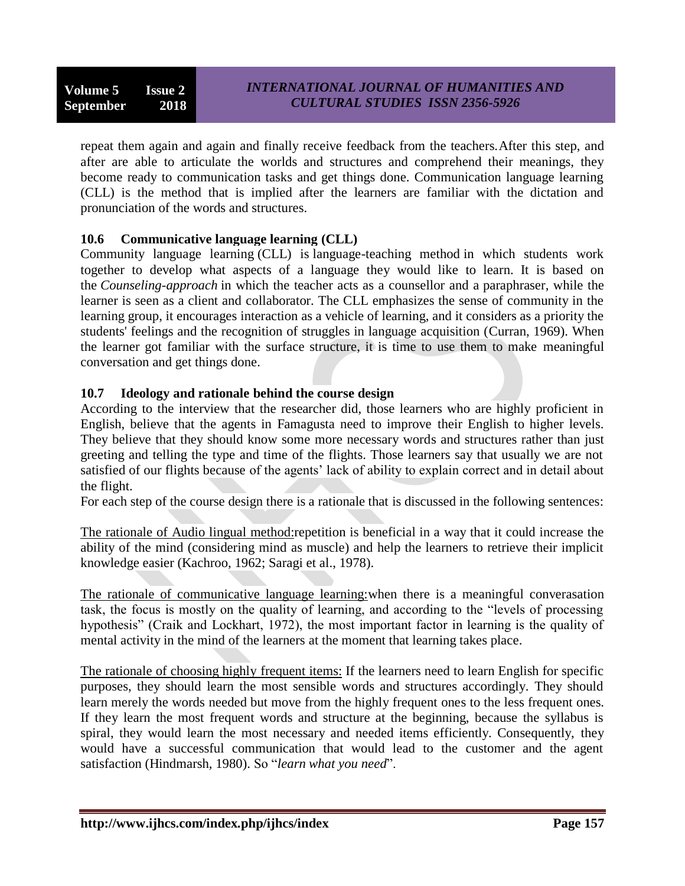repeat them again and again and finally receive feedback from the teachers.After this step, and after are able to articulate the worlds and structures and comprehend their meanings, they become ready to communication tasks and get things done. Communication language learning (CLL) is the method that is implied after the learners are familiar with the dictation and pronunciation of the words and structures.

# **10.6 Communicative language learning (CLL)**

Community language learning (CLL) is [language-teaching method](https://en.wikipedia.org/wiki/Language-teaching_method) in which students work together to develop what aspects of a language they would like to learn. It is based on the *Counseling-approach* in which the teacher acts as a counsellor and a [paraphraser,](https://en.wikipedia.org/wiki/Paraphrase) while the learner is seen as a client and collaborator. The CLL emphasizes the sense of community in the learning group, it encourages [interaction](https://en.wikipedia.org/wiki/Interaction) as a vehicle of learning, and it considers as a priority the students' feelings and the recognition of struggles in language acquisition [\(Curran,](https://en.wikipedia.org/wiki/Charles_Arthur_Curran) 1969). When the learner got familiar with the surface structure, it is time to use them to make meaningful conversation and get things done.

# **10.7 Ideology and rationale behind the course design**

According to the interview that the researcher did, those learners who are highly proficient in English, believe that the agents in Famagusta need to improve their English to higher levels. They believe that they should know some more necessary words and structures rather than just greeting and telling the type and time of the flights. Those learners say that usually we are not satisfied of our flights because of the agents' lack of ability to explain correct and in detail about the flight.

For each step of the course design there is a rationale that is discussed in the following sentences:

The rationale of Audio lingual method:repetition is beneficial in a way that it could increase the ability of the mind (considering mind as muscle) and help the learners to retrieve their implicit knowledge easier (Kachroo, 1962; Saragi et al., 1978).

The rationale of communicative language learning:when there is a meaningful converasation task, the focus is mostly on the quality of learning, and according to the "levels of processing hypothesis" (Craik and Lockhart, 1972), the most important factor in learning is the quality of mental activity in the mind of the learners at the moment that learning takes place.

The rationale of choosing highly frequent items: If the learners need to learn English for specific purposes, they should learn the most sensible words and structures accordingly. They should learn merely the words needed but move from the highly frequent ones to the less frequent ones. If they learn the most frequent words and structure at the beginning, because the syllabus is spiral, they would learn the most necessary and needed items efficiently. Consequently, they would have a successful communication that would lead to the customer and the agent satisfaction (Hindmarsh, 1980). So "*learn what you need*".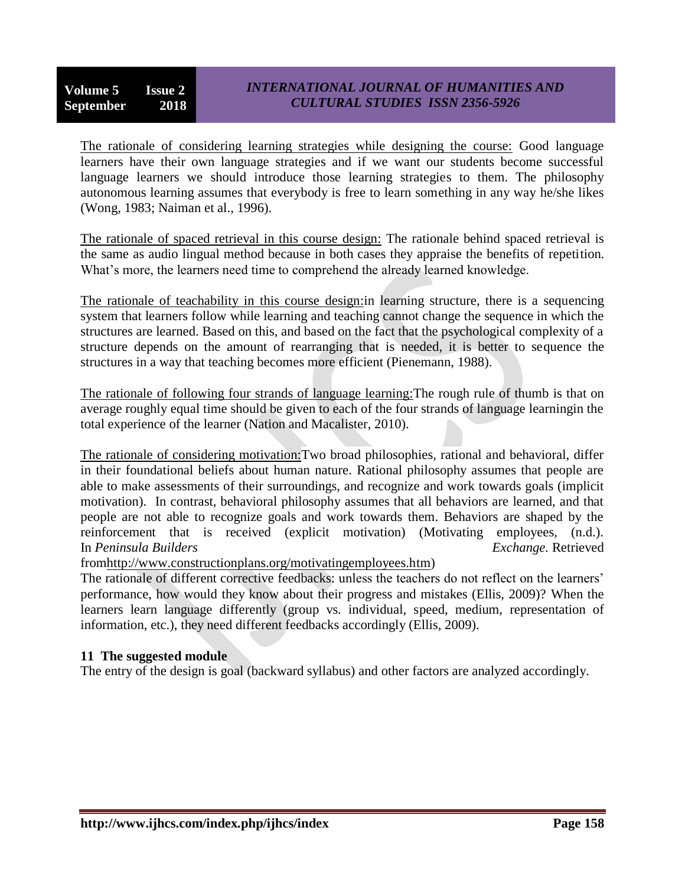The rationale of considering learning strategies while designing the course: Good language learners have their own language strategies and if we want our students become successful language learners we should introduce those learning strategies to them. The philosophy autonomous learning assumes that everybody is free to learn something in any way he/she likes (Wong, 1983; Naiman et al., 1996).

The rationale of spaced retrieval in this course design: The rationale behind spaced retrieval is the same as audio lingual method because in both cases they appraise the benefits of repetition. What's more, the learners need time to comprehend the already learned knowledge.

The rationale of teachability in this course design:in learning structure, there is a sequencing system that learners follow while learning and teaching cannot change the sequence in which the structures are learned. Based on this, and based on the fact that the psychological complexity of a structure depends on the amount of rearranging that is needed, it is better to sequence the structures in a way that teaching becomes more efficient (Pienemann, 1988).

The rationale of following four strands of language learning:The rough rule of thumb is that on average roughly equal time should be given to each of the four strands of language learningin the total experience of the learner (Nation and Macalister, 2010).

The rationale of considering motivation:Two broad philosophies, rational and behavioral, differ in their foundational beliefs about human nature. Rational philosophy assumes that people are able to make assessments of their surroundings, and recognize and work towards goals (implicit motivation). In contrast, behavioral philosophy assumes that all behaviors are learned, and that people are not able to recognize goals and work towards them. Behaviors are shaped by the reinforcement that is received (explicit motivation) (Motivating employees, (n.d.). In *Peninsula Builders Exchange.* Retrieved

fro[mhttp://www.constructionplans.org/motivatingemployees.htm\)](http://www.constructionplans.org/motivatingemployees.htm)

The rationale of different corrective feedbacks: unless the teachers do not reflect on the learners' performance, how would they know about their progress and mistakes (Ellis, 2009)? When the learners learn language differently (group vs. individual, speed, medium, representation of information, etc.), they need different feedbacks accordingly (Ellis, 2009).

## **11 The suggested module**

The entry of the design is goal (backward syllabus) and other factors are analyzed accordingly.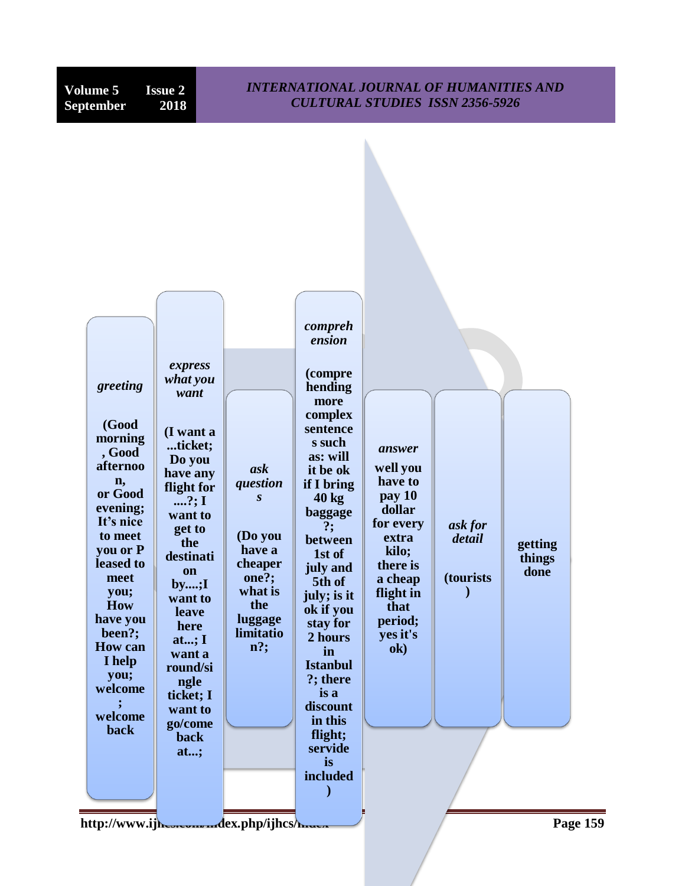| <b>Volume 5</b><br>September                                                                                                                                                                                                        | <b>Issue 2</b><br>2018                                                                                                                                                                                                                     | <b>INTERNATIONAL JOURNAL OF HUMANITIES AND</b><br><b>CULTURAL STUDIES ISSN 2356-5926</b>                                     |                                                                                                                                                                                                                                                                                                       |                                                                                                                                                             |                                                         |                           |
|-------------------------------------------------------------------------------------------------------------------------------------------------------------------------------------------------------------------------------------|--------------------------------------------------------------------------------------------------------------------------------------------------------------------------------------------------------------------------------------------|------------------------------------------------------------------------------------------------------------------------------|-------------------------------------------------------------------------------------------------------------------------------------------------------------------------------------------------------------------------------------------------------------------------------------------------------|-------------------------------------------------------------------------------------------------------------------------------------------------------------|---------------------------------------------------------|---------------------------|
| greeting<br>(Good<br>morning<br>, Good<br>afternoo<br>n,<br>or Good<br>evening;<br>It's nice<br>to meet<br>you or P<br>leased to<br>meet<br>you;<br><b>How</b><br>have you<br>been?;<br><b>How can</b><br>I help<br>you;<br>welcome | express<br>what you<br>want<br>(I want a<br>ticket;<br>Do you<br>have any<br>flight for<br>?; $I$<br>want to<br>get to<br>the<br>destinati<br>on<br>by;I<br>want to<br>leave<br>here<br>at; $I$<br>want a<br>round/si<br>ngle<br>ticket; I | ask<br>question<br>$\mathbf{s}$<br>(Do you<br>have a<br>cheaper<br>one?;<br>what is<br>the<br>luggage<br>limitatio<br>$n$ ?; | compreh<br>ension<br>(compre<br>hending<br>more<br>complex<br>sentence<br>s such<br>as: will<br>it be ok<br>if I bring<br>$40 \text{ kg}$<br>baggage<br>?:<br>between<br>1st of<br>july and<br>5th of<br>july; is it<br>ok if you<br>stay for<br>2 hours<br>in<br><b>Istanbul</b><br>?; there<br>is a | answer<br>well you<br>have to<br>pay 10<br>dollar<br>for every<br>extra<br>kilo;<br>there is<br>a cheap<br>flight in<br>that<br>period;<br>yes it's<br>$ok$ | ask for<br>detail<br><i>(tourists)</i><br>$\mathcal{E}$ | getting<br>things<br>done |
| welcome<br>back                                                                                                                                                                                                                     | want to<br>go/come<br>back<br>at;                                                                                                                                                                                                          |                                                                                                                              | discount<br>in this<br>flight;<br>servide<br>is<br>included                                                                                                                                                                                                                                           |                                                                                                                                                             |                                                         |                           |
|                                                                                                                                                                                                                                     |                                                                                                                                                                                                                                            | http://www.ijh.com/mdex.php/ijhcs/haraca                                                                                     |                                                                                                                                                                                                                                                                                                       |                                                                                                                                                             |                                                         | <b>Page 159</b>           |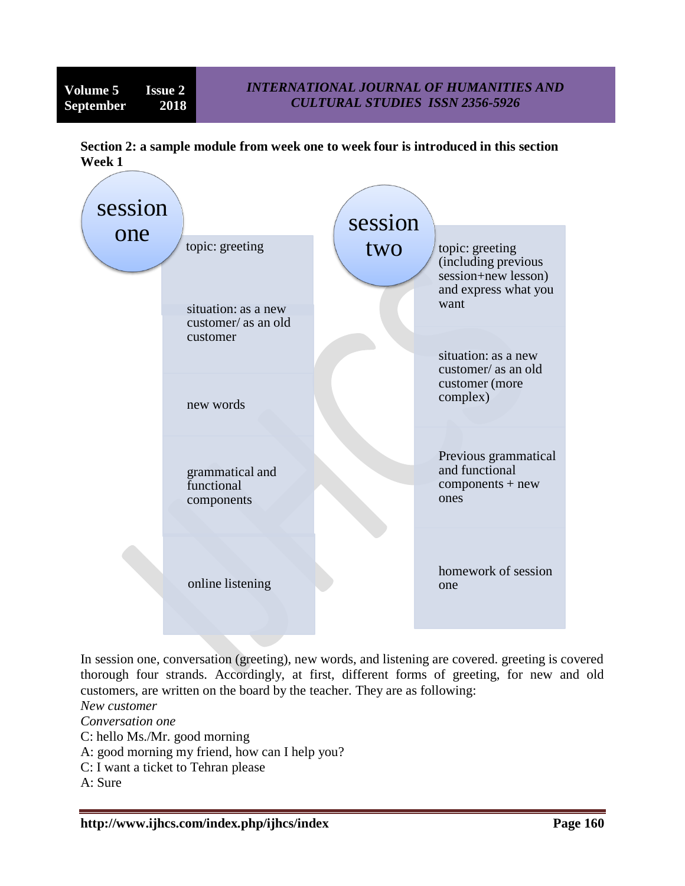**Section 2: a sample module from week one to week four is introduced in this section Week 1**



In session one, conversation (greeting), new words, and listening are covered. greeting is covered thorough four strands. Accordingly, at first, different forms of greeting, for new and old customers, are written on the board by the teacher. They are as following:

*New customer*

*Conversation one*

- C: hello Ms./Mr. good morning
- A: good morning my friend, how can I help you?
- C: I want a ticket to Tehran please

A: Sure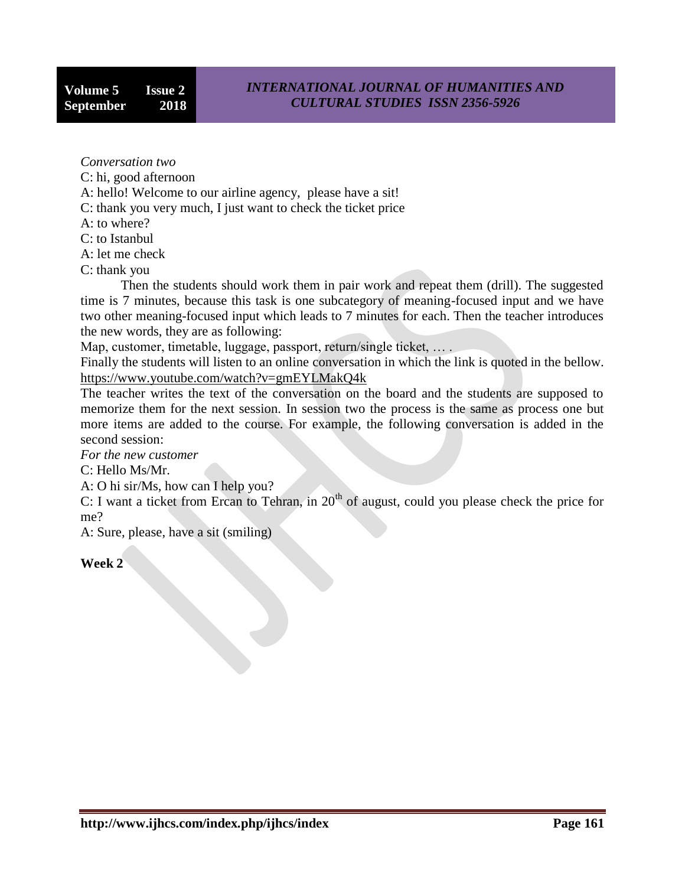*Conversation two*

C: hi, good afternoon

A: hello! Welcome to our airline agency, please have a sit!

C: thank you very much, I just want to check the ticket price

A: to where?

C: to Istanbul

A: let me check

C: thank you

Then the students should work them in pair work and repeat them (drill). The suggested time is 7 minutes, because this task is one subcategory of meaning-focused input and we have two other meaning-focused input which leads to 7 minutes for each. Then the teacher introduces the new words, they are as following:

Map, customer, timetable, luggage, passport, return/single ticket, … .

Finally the students will listen to an online conversation in which the link is quoted in the bellow. <https://www.youtube.com/watch?v=gmEYLMakQ4k>

The teacher writes the text of the conversation on the board and the students are supposed to memorize them for the next session. In session two the process is the same as process one but more items are added to the course. For example, the following conversation is added in the second session:

*For the new customer*

C: Hello Ms/Mr.

A: O hi sir/Ms, how can I help you?

 $C: I$  want a ticket from Ercan to Tehran, in  $20<sup>th</sup>$  of august, could you please check the price for me?

A: Sure, please, have a sit (smiling)

## **Week 2**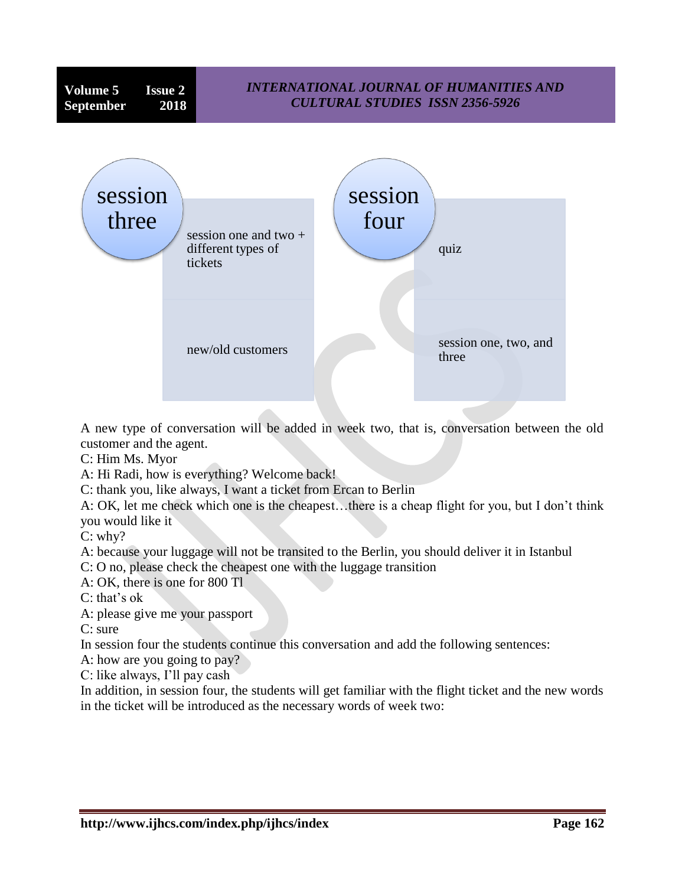

A new type of conversation will be added in week two, that is, conversation between the old customer and the agent.

C: Him Ms. Myor

A: Hi Radi, how is everything? Welcome back!

C: thank you, like always, I want a ticket from Ercan to Berlin

A: OK, let me check which one is the cheapest…there is a cheap flight for you, but I don't think you would like it

C: why?

A: because your luggage will not be transited to the Berlin, you should deliver it in Istanbul

C: O no, please check the cheapest one with the luggage transition

A: OK, there is one for 800 Tl

C: that's ok

A: please give me your passport

C: sure

In session four the students continue this conversation and add the following sentences:

A: how are you going to pay?

C: like always, I'll pay cash

In addition, in session four, the students will get familiar with the flight ticket and the new words in the ticket will be introduced as the necessary words of week two: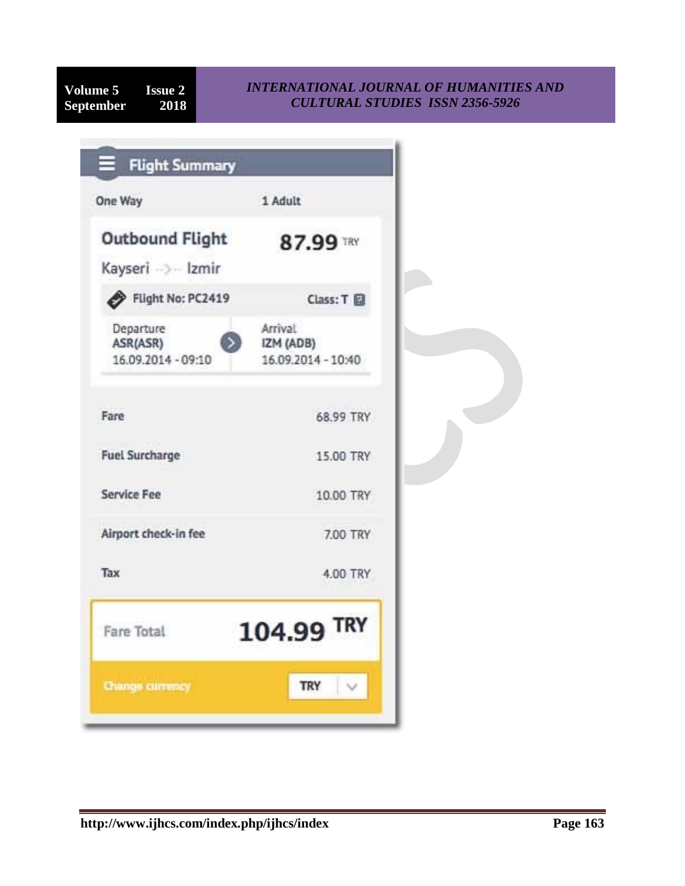## *INTERNATIONAL JOURNAL OF HUMANITIES AND CULTURAL STUDIES ISSN 2356-5926*

| One Way                                     | 1 Adult                                    |
|---------------------------------------------|--------------------------------------------|
| <b>Outbound Flight</b><br>Kayseri -> Izmir  | 87.99 TRY                                  |
| Flight No: PC2419                           | Class: T                                   |
| Departure<br>ASR(ASR)<br>16.09.2014 - 09:10 | Arrival<br>IZM (ADB)<br>16.09.2014 - 10:40 |
| Fare                                        | 68.99 TRY                                  |
| <b>Fuel Surcharge</b>                       | 15.00 TRY                                  |
| <b>Service Fee</b>                          | 10.00 TRY                                  |
| Airport check-in fee                        | 7.00 TRY                                   |
| Tax                                         | 4.00 TRY                                   |
| <b>Fare Total</b>                           | 104.99 TRY<br>h—mhail (Standar)            |
| Change currency                             | $\vee$<br>TRY                              |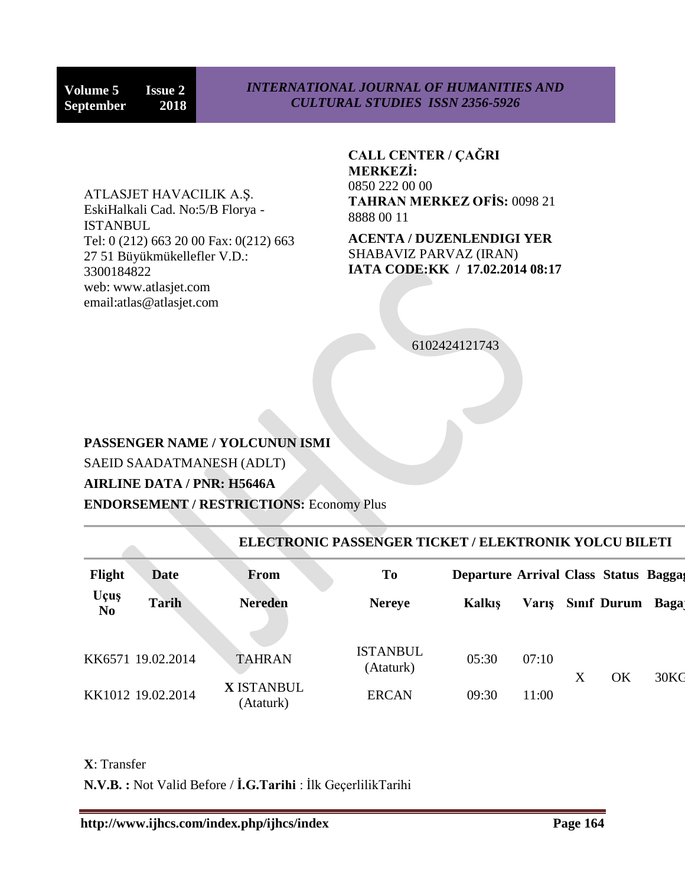ATLASJET HAVACILIK A.Ş. EskiHalkali Cad. No:5/B Florya - ISTANBUL Tel: 0 (212) 663 20 00 Fax: 0(212) 663 27 51 Büyükmükellefler V.D.: 3300184822 web: www.atlasjet.com email:atlas@atlasjet.com

**CALL CENTER / ÇAĞRI MERKEZİ:** 0850 222 00 00 **TAHRAN MERKEZ OFİS:** 0098 21 8888 00 11

**ACENTA / DUZENLENDIGI YER** SHABAVIZ PARVAZ (IRAN) **IATA CODE:KK / 17.02.2014 08:17**

6102424121743

# **PASSENGER NAME / YOLCUNUN ISMI** SAEID SAADATMANESH (ADLT) **AIRLINE DATA / PNR: H5646A**

**ENDORSEMENT / RESTRICTIONS:** Economy Plus

| <b>ELECTRONIC PASSENGER TICKET / ELEKTRONIK YOLCU BILETI</b> |                   |                                |                              |                                              |              |   |                  |      |
|--------------------------------------------------------------|-------------------|--------------------------------|------------------------------|----------------------------------------------|--------------|---|------------------|------|
| Flight                                                       | Date              | <b>From</b>                    | <b>To</b>                    | <b>Departure Arrival Class Status Baggas</b> |              |   |                  |      |
| Uçuş<br>N <sub>0</sub>                                       | <b>Tarih</b>      | <b>Nereden</b>                 | <b>Nereye</b>                | Kalkis                                       | <b>Varis</b> |   | Sinif Durum Baga |      |
|                                                              |                   |                                |                              |                                              |              |   |                  |      |
|                                                              | KK6571 19.02.2014 | <b>TAHRAN</b>                  | <b>ISTANBUL</b><br>(Ataturk) | 05:30                                        | 07:10        |   |                  |      |
|                                                              | KK1012 19.02.2014 | <b>X</b> ISTANBUL<br>(Ataturk) | <b>ERCAN</b>                 | 09:30                                        | 11:00        | X | OK               | 30KG |

**X**: Transfer

**N.V.B. :** Not Valid Before / **İ.G.Tarihi** : İlk GeçerlilikTarihi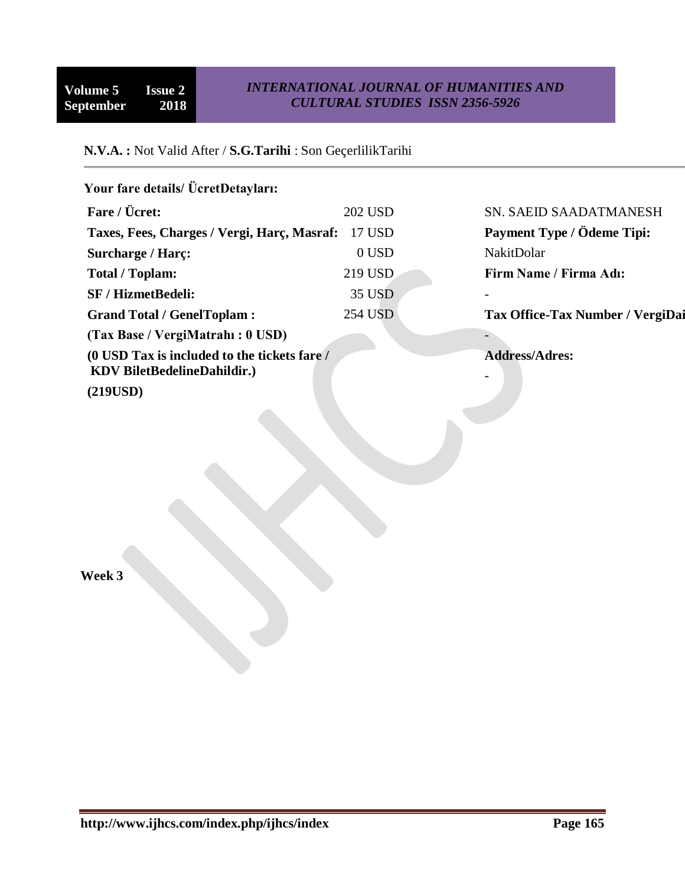# **N.V.A. :** Not Valid After / **S.G.Tarihi** : Son GeçerlilikTarihi

| Your fare details/ ÜcretDetayları:                                                 |                |                                                   |
|------------------------------------------------------------------------------------|----------------|---------------------------------------------------|
| Fare / Ücret:                                                                      | <b>202 USD</b> | SN. SAEID SAADATMANESH                            |
| Taxes, Fees, Charges / Vergi, Harç, Masraf:                                        | 17 USD         | Payment Type / Ödeme Tipi:                        |
| <b>Surcharge / Harc:</b>                                                           | $0$ USD        | <b>NakitDolar</b>                                 |
| <b>Total / Toplam:</b>                                                             | 219 USD        | Firm Name / Firma Adı:                            |
| <b>SF / HizmetBedeli:</b>                                                          | 35 USD         |                                                   |
| <b>Grand Total / GenelToplam:</b>                                                  | 254 USD        | <b>Tax Office-Tax Number / VergiDai</b>           |
| (Tax Base / VergiMatrahi : 0 USD)                                                  |                |                                                   |
| (0 USD Tax is included to the tickets fare /<br><b>KDV</b> BiletBedelineDahildir.) |                | <b>Address/Adres:</b><br>$\overline{\phantom{0}}$ |
| (219USD)                                                                           |                |                                                   |
|                                                                                    |                |                                                   |

**Week 3**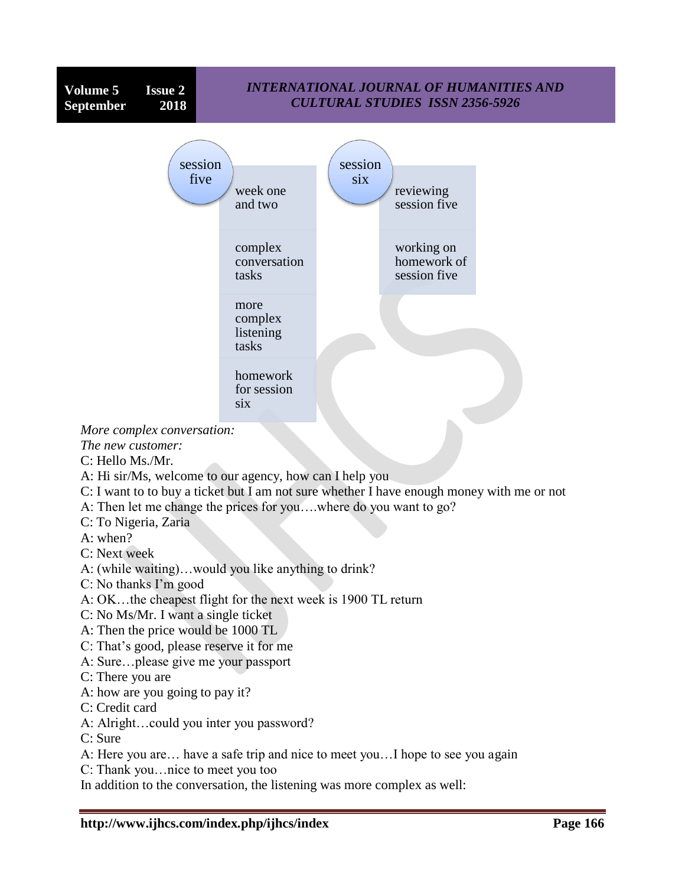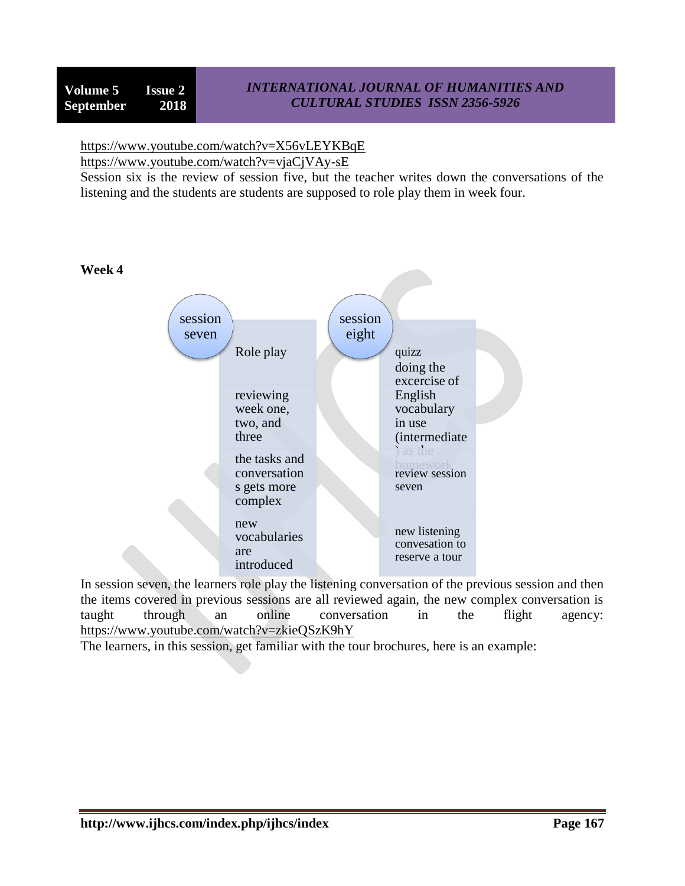## *INTERNATIONAL JOURNAL OF HUMANITIES AND CULTURAL STUDIES ISSN 2356-5926*

# <https://www.youtube.com/watch?v=X56vLEYKBqE>

<https://www.youtube.com/watch?v=vjaCjVAy-sE>

Session six is the review of session five, but the teacher writes down the conversations of the listening and the students are students are supposed to role play them in week four.



In session seven, the learners role play the listening conversation of the previous session and then the items covered in previous sessions are all reviewed again, the new complex conversation is taught through an online conversation in the flight agency: <https://www.youtube.com/watch?v=zkieQSzK9hY>

The learners, in this session, get familiar with the tour brochures, here is an example: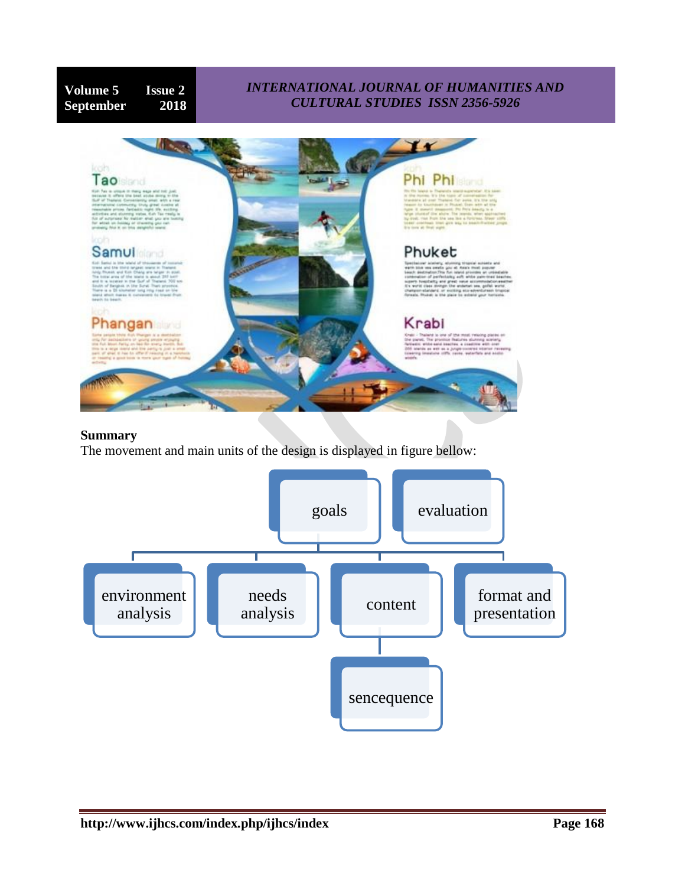# **Volume 5 Issue 2 September 2018**

## *INTERNATIONAL JOURNAL OF HUMANITIES AND CULTURAL STUDIES ISSN 2356-5926*



#### **Summary**

The movement and main units of the design is displayed in figure bellow:

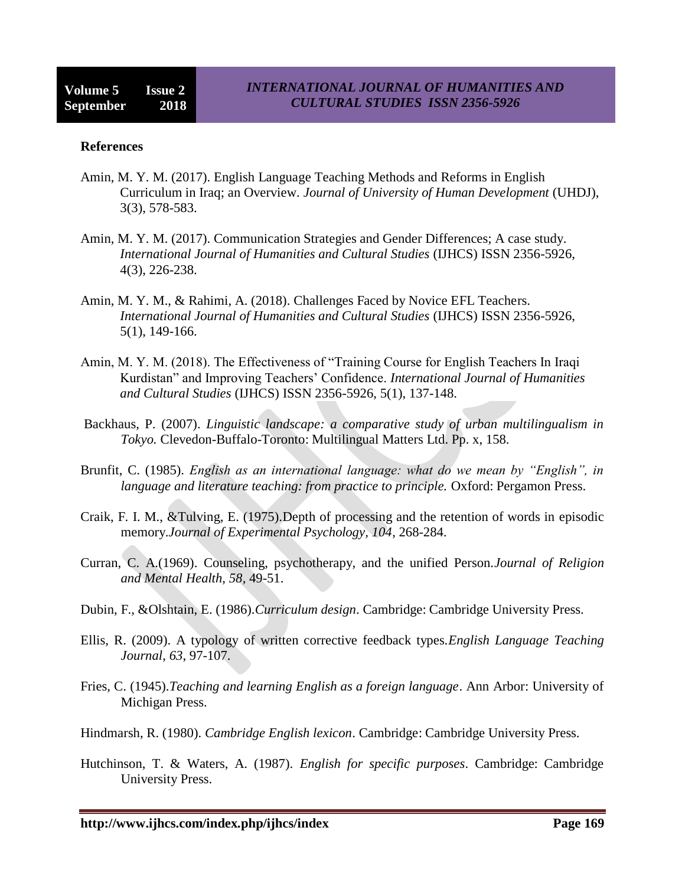#### **References**

- Amin, M. Y. M. (2017). English Language Teaching Methods and Reforms in English Curriculum in Iraq; an Overview. *Journal of University of Human Development* (UHDJ), 3(3), 578-583.
- Amin, M. Y. M. (2017). Communication Strategies and Gender Differences; A case study. *International Journal of Humanities and Cultural Studies* (IJHCS) ISSN 2356-5926, 4(3), 226-238.
- Amin, M. Y. M., & Rahimi, A. (2018). Challenges Faced by Novice EFL Teachers. *International Journal of Humanities and Cultural Studies* (IJHCS) ISSN 2356-5926, 5(1), 149-166.
- Amin, M. Y. M. (2018). The Effectiveness of "Training Course for English Teachers In Iraqi Kurdistan" and Improving Teachers' Confidence. *International Journal of Humanities and Cultural Studies* (IJHCS) ISSN 2356-5926, 5(1), 137-148.
- Backhaus, P. (2007). *Linguistic landscape: a comparative study of urban multilingualism in Tokyo.* Clevedon-Buffalo-Toronto: Multilingual Matters Ltd. Pp. x, 158.
- Brunfit, C. (1985). *English as an international language: what do we mean by "English", in language and literature teaching: from practice to principle.* Oxford: Pergamon Press.
- Craik, F. I. M., &Tulving, E. (1975).Depth of processing and the retention of words in episodic memory.*Journal of Experimental Psychology, 104*, 268-284.
- Curran, C. A.(1969). Counseling, psychotherapy, and the unified Person.*Journal of Religion and Mental Health, 58*, 49-51.
- Dubin, F., &Olshtain, E. (1986).*Curriculum design*. Cambridge: Cambridge University Press.
- Ellis, R. (2009). A typology of written corrective feedback types.*English Language Teaching Journal*, *63*, 97-107.
- Fries, C. (1945).*Teaching and learning English as a foreign language*. Ann Arbor: University of Michigan Press.
- Hindmarsh, R. (1980). *Cambridge English lexicon*. Cambridge: Cambridge University Press.
- Hutchinson, T. & Waters, A. (1987). *English for specific purposes*. Cambridge: Cambridge University Press.